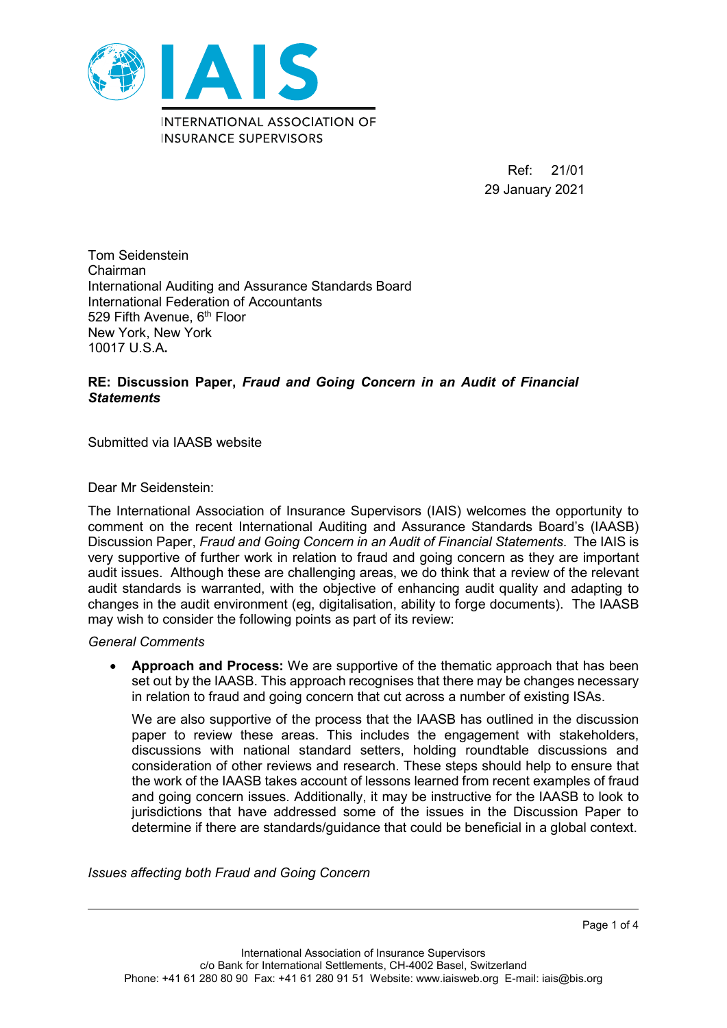

Ref: 21/01 29 January 2021

Tom Seidenstein Chairman International Auditing and Assurance Standards Board International Federation of Accountants 529 Fifth Avenue, 6<sup>th</sup> Floor New York, New York 10017 U.S.A**.**

## **RE: Discussion Paper,** *Fraud and Going Concern in an Audit of Financial Statements*

Submitted via IAASB website

Dear Mr Seidenstein:

The International Association of Insurance Supervisors (IAIS) welcomes the opportunity to comment on the recent International Auditing and Assurance Standards Board's (IAASB) Discussion Paper, *Fraud and Going Concern in an Audit of Financial Statements*. The IAIS is very supportive of further work in relation to fraud and going concern as they are important audit issues. Although these are challenging areas, we do think that a review of the relevant audit standards is warranted, with the objective of enhancing audit quality and adapting to changes in the audit environment (eg, digitalisation, ability to forge documents). The IAASB may wish to consider the following points as part of its review:

*General Comments*

• **Approach and Process:** We are supportive of the thematic approach that has been set out by the IAASB. This approach recognises that there may be changes necessary in relation to fraud and going concern that cut across a number of existing ISAs.

We are also supportive of the process that the IAASB has outlined in the discussion paper to review these areas. This includes the engagement with stakeholders, discussions with national standard setters, holding roundtable discussions and consideration of other reviews and research. These steps should help to ensure that the work of the IAASB takes account of lessons learned from recent examples of fraud and going concern issues. Additionally, it may be instructive for the IAASB to look to jurisdictions that have addressed some of the issues in the Discussion Paper to determine if there are standards/guidance that could be beneficial in a global context.

*Issues affecting both Fraud and Going Concern*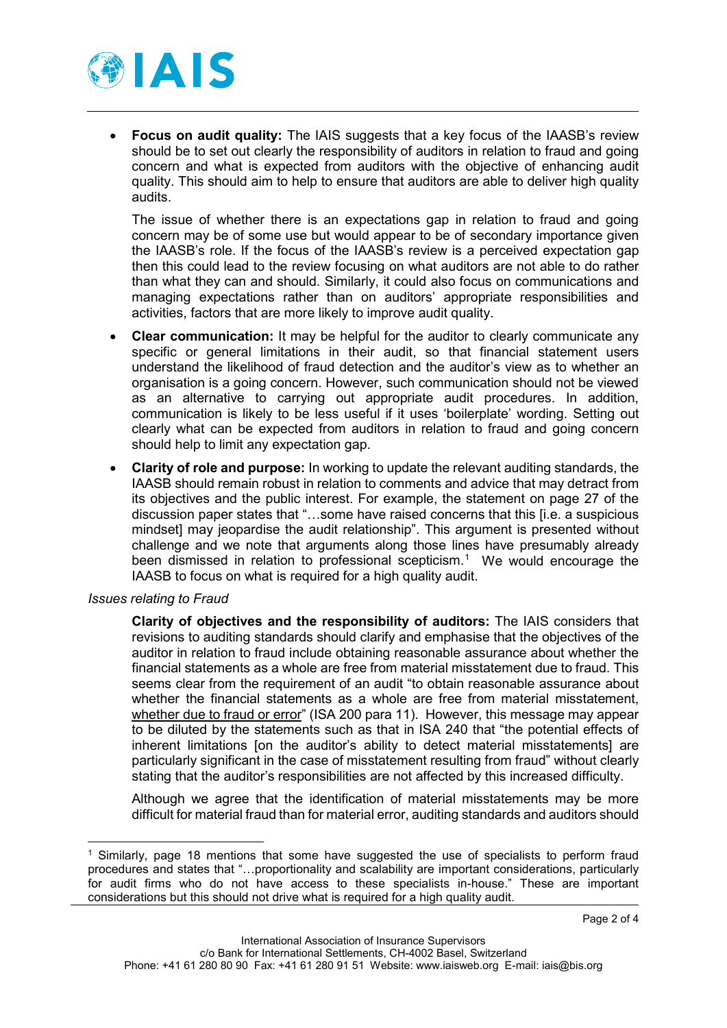

• **Focus on audit quality:** The IAIS suggests that a key focus of the IAASB's review should be to set out clearly the responsibility of auditors in relation to fraud and going concern and what is expected from auditors with the objective of enhancing audit quality. This should aim to help to ensure that auditors are able to deliver high quality audits.

The issue of whether there is an expectations gap in relation to fraud and going concern may be of some use but would appear to be of secondary importance given the IAASB's role. If the focus of the IAASB's review is a perceived expectation gap then this could lead to the review focusing on what auditors are not able to do rather than what they can and should. Similarly, it could also focus on communications and managing expectations rather than on auditors' appropriate responsibilities and activities, factors that are more likely to improve audit quality.

- **Clear communication:** It may be helpful for the auditor to clearly communicate any specific or general limitations in their audit, so that financial statement users understand the likelihood of fraud detection and the auditor's view as to whether an organisation is a going concern. However, such communication should not be viewed as an alternative to carrying out appropriate audit procedures. In addition, communication is likely to be less useful if it uses 'boilerplate' wording. Setting out clearly what can be expected from auditors in relation to fraud and going concern should help to limit any expectation gap.
- **Clarity of role and purpose:** In working to update the relevant auditing standards, the IAASB should remain robust in relation to comments and advice that may detract from its objectives and the public interest. For example, the statement on page 27 of the discussion paper states that "…some have raised concerns that this [i.e. a suspicious mindset] may jeopardise the audit relationship". This argument is presented without challenge and we note that arguments along those lines have presumably already been dismissed in relation to professional scepticism.<sup>[1](#page-1-0)</sup> We would encourage the IAASB to focus on what is required for a high quality audit.

## *Issues relating to Fraud*

**Clarity of objectives and the responsibility of auditors:** The IAIS considers that revisions to auditing standards should clarify and emphasise that the objectives of the auditor in relation to fraud include obtaining reasonable assurance about whether the financial statements as a whole are free from material misstatement due to fraud. This seems clear from the requirement of an audit "to obtain reasonable assurance about whether the financial statements as a whole are free from material misstatement, whether due to fraud or error" (ISA 200 para 11). However, this message may appear to be diluted by the statements such as that in ISA 240 that "the potential effects of inherent limitations [on the auditor's ability to detect material misstatements] are particularly significant in the case of misstatement resulting from fraud" without clearly stating that the auditor's responsibilities are not affected by this increased difficulty.

Although we agree that the identification of material misstatements may be more difficult for material fraud than for material error, auditing standards and auditors should

<span id="page-1-0"></span> <sup>1</sup> Similarly, page 18 mentions that some have suggested the use of specialists to perform fraud procedures and states that "…proportionality and scalability are important considerations, particularly for audit firms who do not have access to these specialists in-house." These are important considerations but this should not drive what is required for a high quality audit.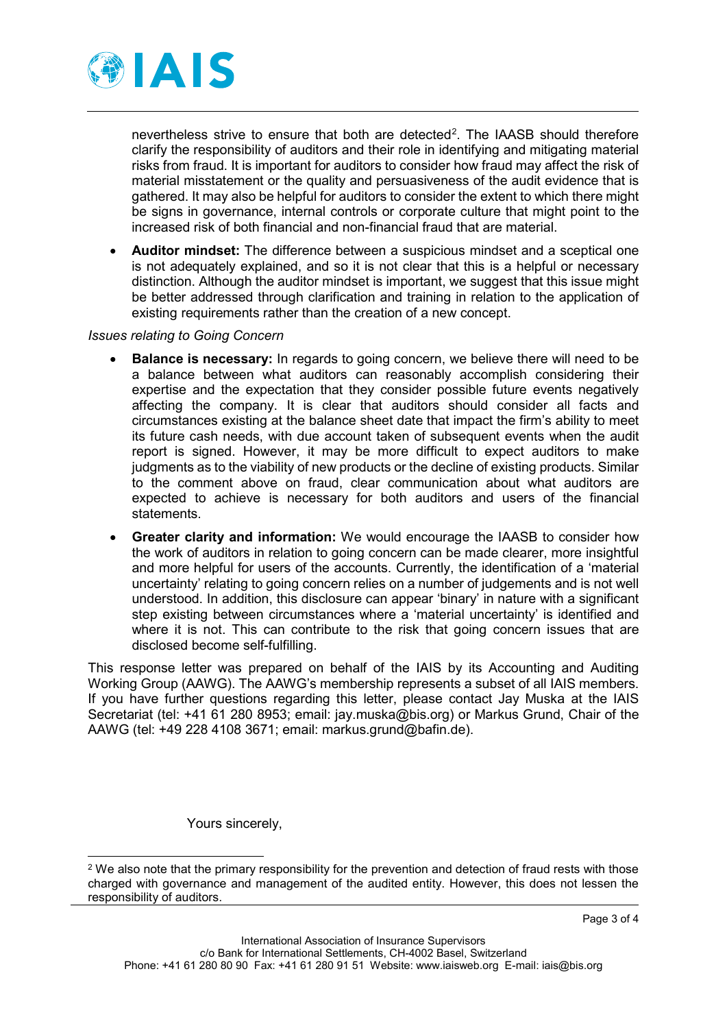

nevertheless strive to ensure that both are detected<sup>[2](#page-2-0)</sup>. The IAASB should therefore clarify the responsibility of auditors and their role in identifying and mitigating material risks from fraud. It is important for auditors to consider how fraud may affect the risk of material misstatement or the quality and persuasiveness of the audit evidence that is gathered. It may also be helpful for auditors to consider the extent to which there might be signs in governance, internal controls or corporate culture that might point to the increased risk of both financial and non-financial fraud that are material.

• **Auditor mindset:** The difference between a suspicious mindset and a sceptical one is not adequately explained, and so it is not clear that this is a helpful or necessary distinction. Although the auditor mindset is important, we suggest that this issue might be better addressed through clarification and training in relation to the application of existing requirements rather than the creation of a new concept.

## *Issues relating to Going Concern*

- **Balance is necessary:** In regards to going concern, we believe there will need to be a balance between what auditors can reasonably accomplish considering their expertise and the expectation that they consider possible future events negatively affecting the company. It is clear that auditors should consider all facts and circumstances existing at the balance sheet date that impact the firm's ability to meet its future cash needs, with due account taken of subsequent events when the audit report is signed. However, it may be more difficult to expect auditors to make judgments as to the viability of new products or the decline of existing products. Similar to the comment above on fraud, clear communication about what auditors are expected to achieve is necessary for both auditors and users of the financial statements.
- **Greater clarity and information:** We would encourage the IAASB to consider how the work of auditors in relation to going concern can be made clearer, more insightful and more helpful for users of the accounts. Currently, the identification of a 'material uncertainty' relating to going concern relies on a number of judgements and is not well understood. In addition, this disclosure can appear 'binary' in nature with a significant step existing between circumstances where a 'material uncertainty' is identified and where it is not. This can contribute to the risk that going concern issues that are disclosed become self-fulfilling.

This response letter was prepared on behalf of the IAIS by its Accounting and Auditing Working Group (AAWG). The AAWG's membership represents a subset of all IAIS members. If you have further questions regarding this letter, please contact Jay Muska at the IAIS Secretariat (tel: +41 61 280 8953; email: jay.muska@bis.org) or Markus Grund, Chair of the AAWG (tel: +49 228 4108 3671; email: markus.grund@bafin.de).

Yours sincerely,

<span id="page-2-0"></span> $2$  We also note that the primary responsibility for the prevention and detection of fraud rests with those charged with governance and management of the audited entity. However, this does not lessen the responsibility of auditors.